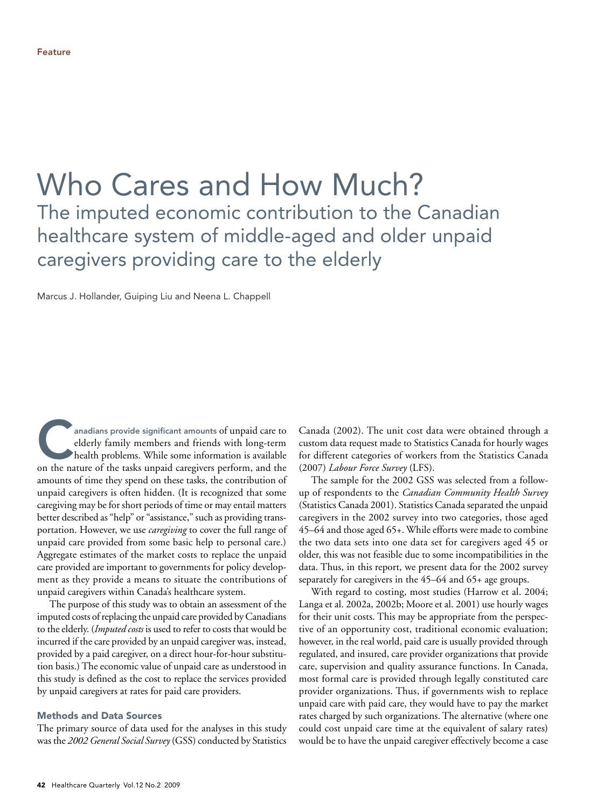# Who Cares and How Much? The imputed economic contribution to the Canadian healthcare system of middle-aged and older unpaid caregivers providing care to the elderly

Marcus J. Hollander, Guiping Liu and Neena L. Chappell

anadians provide significant amounts of unpaid care to elderly family members and friends with long-term health problems. While some information is available on the nature of the tasks unpaid caregivers perform, and the amounts of time they spend on these tasks, the contribution of unpaid caregivers is often hidden. (It is recognized that some caregiving may be for short periods of time or may entail matters better described as "help" or "assistance," such as providing transportation. However, we use *caregiving* to cover the full range of unpaid care provided from some basic help to personal care.) Aggregate estimates of the market costs to replace the unpaid care provided are important to governments for policy development as they provide a means to situate the contributions of unpaid caregivers within Canada's healthcare system.

The purpose of this study was to obtain an assessment of the imputed costs of replacing the unpaid care provided by Canadians to the elderly. (*Imputed costs* is used to refer to costs that would be incurred if the care provided by an unpaid caregiver was, instead, provided by a paid caregiver, on a direct hour-for-hour substitution basis.) The economic value of unpaid care as understood in this study is defined as the cost to replace the services provided by unpaid caregivers at rates for paid care providers.

#### Methods and Data Sources

The primary source of data used for the analyses in this study was the *2002 General Social Survey* (GSS) conducted by Statistics Canada (2002). The unit cost data were obtained through a custom data request made to Statistics Canada for hourly wages for different categories of workers from the Statistics Canada (2007) *Labour Force Survey* (LFS).

The sample for the 2002 GSS was selected from a followup of respondents to the *Canadian Community Health Survey*  (Statistics Canada 2001). Statistics Canada separated the unpaid caregivers in the 2002 survey into two categories, those aged 45–64 and those aged 65+. While efforts were made to combine the two data sets into one data set for caregivers aged 45 or older, this was not feasible due to some incompatibilities in the data. Thus, in this report, we present data for the 2002 survey separately for caregivers in the 45–64 and 65+ age groups.

With regard to costing, most studies (Harrow et al. 2004; Langa et al. 2002a, 2002b; Moore et al. 2001) use hourly wages for their unit costs. This may be appropriate from the perspective of an opportunity cost, traditional economic evaluation; however, in the real world, paid care is usually provided through regulated, and insured, care provider organizations that provide care, supervision and quality assurance functions. In Canada, most formal care is provided through legally constituted care provider organizations. Thus, if governments wish to replace unpaid care with paid care, they would have to pay the market rates charged by such organizations. The alternative (where one could cost unpaid care time at the equivalent of salary rates) would be to have the unpaid caregiver effectively become a case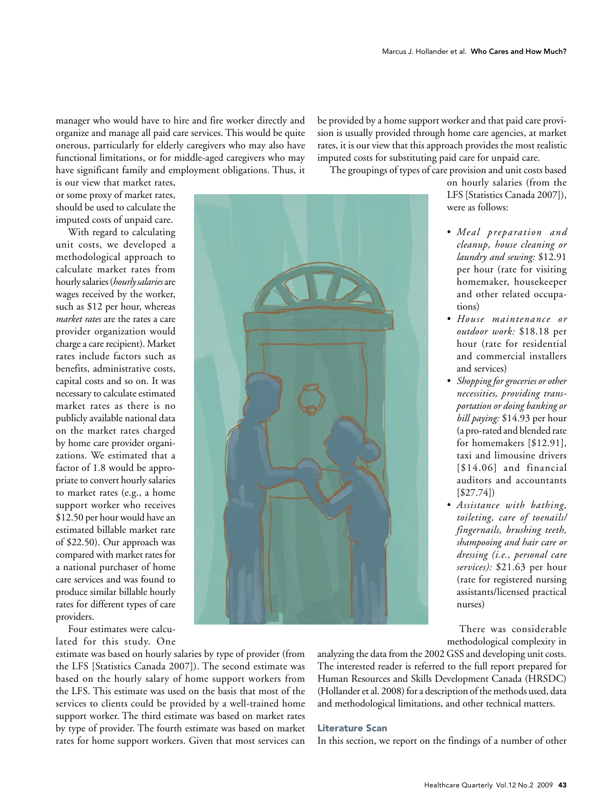manager who would have to hire and fire worker directly and organize and manage all paid care services. This would be quite onerous, particularly for elderly caregivers who may also have functional limitations, or for middle-aged caregivers who may have significant family and employment obligations. Thus, it

is our view that market rates, or some proxy of market rates, should be used to calculate the imputed costs of unpaid care.

With regard to calculating unit costs, we developed a methodological approach to calculate market rates from hourly salaries (*hourly salaries* are wages received by the worker, such as \$12 per hour, whereas *market rates* are the rates a care provider organization would charge a care recipient). Market rates include factors such as benefits, administrative costs, capital costs and so on. It was necessary to calculate estimated market rates as there is no publicly available national data on the market rates charged by home care provider organizations. We estimated that a factor of 1.8 would be appropriate to convert hourly salaries to market rates (e.g., a home support worker who receives \$12.50 per hour would have an estimated billable market rate of \$22.50). Our approach was compared with market rates for a national purchaser of home care services and was found to produce similar billable hourly rates for different types of care providers.

Four estimates were calculated for this study. One

estimate was based on hourly salaries by type of provider (from the LFS [Statistics Canada 2007]). The second estimate was based on the hourly salary of home support workers from the LFS. This estimate was used on the basis that most of the services to clients could be provided by a well-trained home support worker. The third estimate was based on market rates by type of provider. The fourth estimate was based on market rates for home support workers. Given that most services can be provided by a home support worker and that paid care provision is usually provided through home care agencies, at market rates, it is our view that this approach provides the most realistic imputed costs for substituting paid care for unpaid care.

The groupings of types of care provision and unit costs based

on hourly salaries (from the LFS [Statistics Canada 2007]), were as follows:

- *Meal preparation and cleanup, house cleaning or laundry and sewing:* \$12.91 per hour (rate for visiting homemaker, housekeeper and other related occupations)
- *House maintenance or outdoor work:* \$18.18 per hour (rate for residential and commercial installers and services)
- *Shopping for groceries or other necessities, providing transportation or doing banking or bill paying:* \$14.93 per hour (a pro-rated and blended rate for homemakers [\$12.91], taxi and limousine drivers [\$14.06] and financial auditors and accountants [\$27.74])
- *Assistance with bathing, toileting, care of toenails/ fingernails, brushing teeth, shampooing and hair care or dressing (i.e., personal care services):* \$21.63 per hour (rate for registered nursing assistants/licensed practical nurses)

There was considerable methodological complexity in

analyzing the data from the 2002 GSS and developing unit costs.

The interested reader is referred to the full report prepared for Human Resources and Skills Development Canada (HRSDC) (Hollander et al. 2008) for a description of the methods used, data and methodological limitations, and other technical matters.

### Literature Scan

In this section, we report on the findings of a number of other

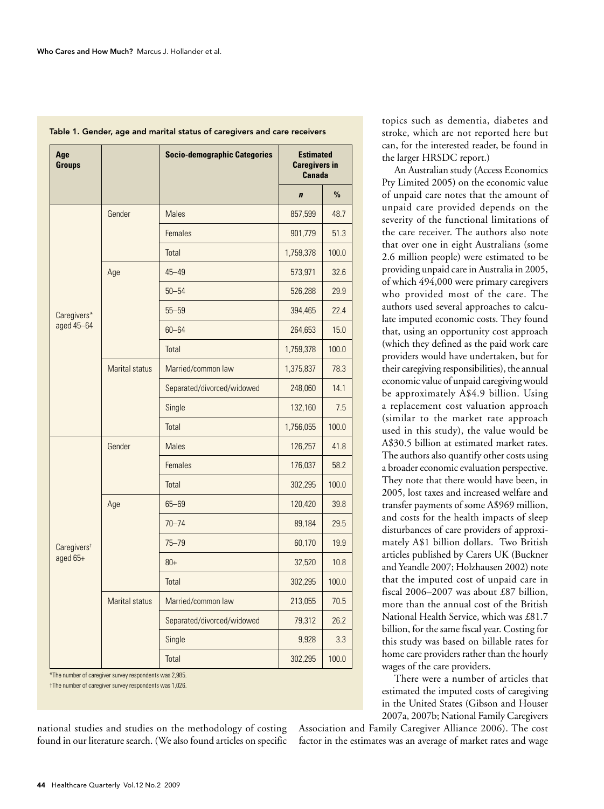| Age<br><b>Groups</b>    |                       | <b>Socio-demographic Categories</b> | <b>Estimated</b><br><b>Caregivers in</b><br><b>Canada</b> |               |  |
|-------------------------|-----------------------|-------------------------------------|-----------------------------------------------------------|---------------|--|
|                         |                       |                                     | $\mathbf{n}$                                              | $\frac{9}{6}$ |  |
|                         | Gender                | <b>Males</b>                        | 857,599                                                   | 48.7          |  |
|                         |                       | Females                             | 901,779                                                   | 51.3          |  |
|                         |                       | Total                               | 1,759,378                                                 | 100.0         |  |
|                         | Age                   | $45 - 49$                           | 573,971                                                   | 32.6          |  |
|                         |                       | $50 - 54$                           | 526,288                                                   | 29.9          |  |
| Caregivers*             |                       | $55 - 59$                           | 394,465                                                   | 22.4          |  |
| aged 45-64              |                       | $60 - 64$                           | 264,653                                                   | 15.0          |  |
|                         |                       | Total                               | 1,759,378                                                 | 100.0         |  |
|                         | <b>Marital status</b> | Married/common law                  | 1,375,837                                                 | 78.3          |  |
|                         |                       | Separated/divorced/widowed          | 248,060                                                   | 14.1          |  |
|                         |                       | Single                              | 132,160                                                   | 7.5           |  |
|                         |                       | Total                               | 1,756,055                                                 | 100.0         |  |
|                         | Gender                | <b>Males</b>                        | 126,257                                                   | 41.8          |  |
|                         |                       | Females                             | 176,037                                                   | 58.2          |  |
|                         |                       | Total                               | 302,295                                                   | 100.0         |  |
|                         | Age                   | $65 - 69$                           | 120,420                                                   | 39.8          |  |
|                         |                       | $70 - 74$                           | 89,184                                                    | 29.5          |  |
| Caregivers <sup>t</sup> |                       | $75 - 79$                           | 60,170                                                    | 19.9          |  |
| aged 65+                |                       | $80 +$                              | 32,520                                                    | 10.8          |  |
|                         |                       | Total                               | 302,295                                                   | 100.0         |  |
|                         | <b>Marital status</b> | Married/common law                  | 213,055                                                   | 70.5          |  |
|                         |                       | Separated/divorced/widowed          | 79,312                                                    | 26.2          |  |
|                         |                       | Single                              | 9,928                                                     | 3.3           |  |
|                         |                       | Total                               | 302,295                                                   | 100.0         |  |

Table 1. Gender, age and marital status of caregivers and care receivers

\*The number of caregiver survey respondents was 2,985.

†The number of caregiver survey respondents was 1,026.

national studies and studies on the methodology of costing found in our literature search. (We also found articles on specific

topics such as dementia, diabetes and stroke, which are not reported here but can, for the interested reader, be found in the larger HRSDC report.)

An Australian study (Access Economics Pty Limited 2005) on the economic value of unpaid care notes that the amount of unpaid care provided depends on the severity of the functional limitations of the care receiver. The authors also note that over one in eight Australians (some 2.6 million people) were estimated to be providing unpaid care in Australia in 2005, of which 494,000 were primary caregivers who provided most of the care. The authors used several approaches to calculate imputed economic costs. They found that, using an opportunity cost approach (which they defined as the paid work care providers would have undertaken, but for their caregiving responsibilities), the annual economic value of unpaid caregiving would be approximately A\$4.9 billion. Using a replacement cost valuation approach (similar to the market rate approach used in this study), the value would be A\$30.5 billion at estimated market rates. The authors also quantify other costs using a broader economic evaluation perspective. They note that there would have been, in 2005, lost taxes and increased welfare and transfer payments of some A\$969 million, and costs for the health impacts of sleep disturbances of care providers of approximately A\$1 billion dollars. Two British articles published by Carers UK (Buckner and Yeandle 2007; Holzhausen 2002) note that the imputed cost of unpaid care in fiscal 2006–2007 was about £87 billion, more than the annual cost of the British National Health Service, which was £81.7 billion, for the same fiscal year. Costing for this study was based on billable rates for home care providers rather than the hourly wages of the care providers.

There were a number of articles that estimated the imputed costs of caregiving in the United States (Gibson and Houser 2007a, 2007b; National Family Caregivers

Association and Family Caregiver Alliance 2006). The cost factor in the estimates was an average of market rates and wage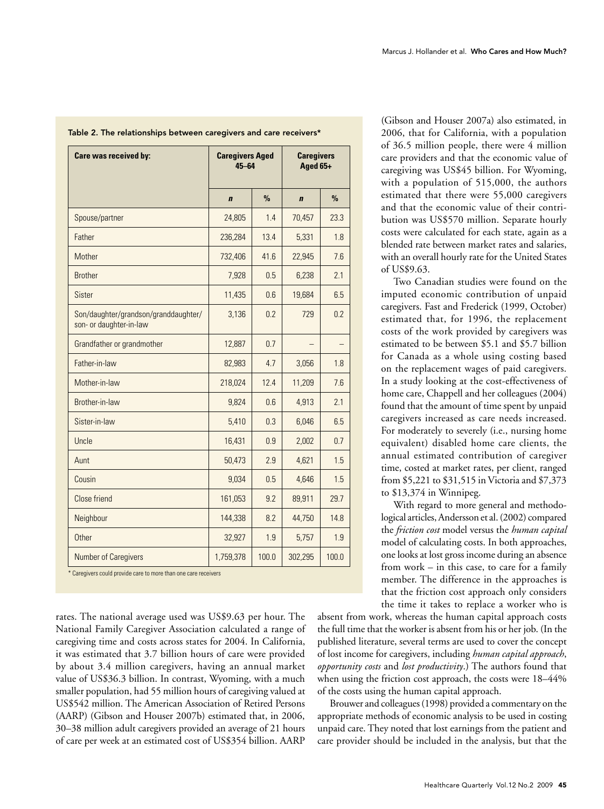| Care was received by:                                           |              | <b>Caregivers Aged</b><br>$45 - 64$ |              | <b>Caregivers</b><br>Aged 65+ |  |
|-----------------------------------------------------------------|--------------|-------------------------------------|--------------|-------------------------------|--|
|                                                                 | $\mathbf{n}$ | $\frac{9}{6}$                       | $\mathbf{n}$ | $\frac{9}{6}$                 |  |
| Spouse/partner                                                  | 24,805       | 1.4                                 | 70,457       | 23.3                          |  |
| Father                                                          | 236,284      | 13.4                                | 5,331        | 1.8                           |  |
| Mother                                                          | 732,406      | 41.6                                | 22,945       | 7.6                           |  |
| <b>Brother</b>                                                  | 7,928        | 0.5                                 | 6,238        | 2.1                           |  |
| Sister                                                          | 11,435       | 0.6                                 | 19,684       | 6.5                           |  |
| Son/daughter/grandson/granddaughter/<br>son- or daughter-in-law | 3,136        | 0.2                                 | 729          | 0.2                           |  |
| Grandfather or grandmother                                      | 12,887       | 0.7                                 |              |                               |  |
| Father-in-law                                                   | 82,983       | 4.7                                 | 3,056        | 1.8                           |  |
| Mother-in-law                                                   | 218,024      | 12.4                                | 11,209       | 7.6                           |  |
| Brother-in-law                                                  | 9,824        | 0.6                                 | 4,913        | 2.1                           |  |
| Sister-in-law                                                   | 5,410        | 0.3                                 | 6,046        | 6.5                           |  |
| Uncle                                                           | 16,431       | 0.9                                 | 2.002        | 0.7                           |  |
| Aunt                                                            | 50,473       | 2.9                                 | 4,621        | 1.5                           |  |
| Cousin                                                          | 9,034        | 0.5                                 | 4,646        | 1.5                           |  |
| Close friend                                                    | 161,053      | 9.2                                 | 89,911       | 29.7                          |  |
| Neighbour                                                       | 144,338      | 8.2                                 | 44,750       | 14.8                          |  |
| Other                                                           | 32,927       | 1.9                                 | 5,757        | 1.9                           |  |
| <b>Number of Caregivers</b>                                     | 1,759,378    | 100.0                               | 302,295      | 100.0                         |  |

Table 2. The relationships between caregivers and care receivers\*

\* Caregivers could provide care to more than one care receivers

rates. The national average used was US\$9.63 per hour. The National Family Caregiver Association calculated a range of caregiving time and costs across states for 2004. In California, it was estimated that 3.7 billion hours of care were provided by about 3.4 million caregivers, having an annual market value of US\$36.3 billion. In contrast, Wyoming, with a much smaller population, had 55 million hours of caregiving valued at US\$542 million. The American Association of Retired Persons (AARP) (Gibson and Houser 2007b) estimated that, in 2006, 30–38 million adult caregivers provided an average of 21 hours of care per week at an estimated cost of US\$354 billion. AARP (Gibson and Houser 2007a) also estimated, in 2006, that for California, with a population of 36.5 million people, there were 4 million care providers and that the economic value of caregiving was US\$45 billion. For Wyoming, with a population of 515,000, the authors estimated that there were 55,000 caregivers and that the economic value of their contribution was US\$570 million. Separate hourly costs were calculated for each state, again as a blended rate between market rates and salaries, with an overall hourly rate for the United States of US\$9.63.

Two Canadian studies were found on the imputed economic contribution of unpaid caregivers. Fast and Frederick (1999, October) estimated that, for 1996, the replacement costs of the work provided by caregivers was estimated to be between \$5.1 and \$5.7 billion for Canada as a whole using costing based on the replacement wages of paid caregivers. In a study looking at the cost-effectiveness of home care, Chappell and her colleagues (2004) found that the amount of time spent by unpaid caregivers increased as care needs increased. For moderately to severely (i.e., nursing home equivalent) disabled home care clients, the annual estimated contribution of caregiver time, costed at market rates, per client, ranged from \$5,221 to \$31,515 in Victoria and \$7,373 to \$13,374 in Winnipeg.

With regard to more general and methodological articles, Andersson et al. (2002) compared the *friction cost* model versus the *human capital* model of calculating costs. In both approaches, one looks at lost gross income during an absence from work – in this case, to care for a family member. The difference in the approaches is that the friction cost approach only considers the time it takes to replace a worker who is

absent from work, whereas the human capital approach costs the full time that the worker is absent from his or her job. (In the published literature, several terms are used to cover the concept of lost income for caregivers, including *human capital approach*, *opportunity costs* and *lost productivity*.) The authors found that when using the friction cost approach, the costs were 18–44% of the costs using the human capital approach.

Brouwer and colleagues (1998) provided a commentary on the appropriate methods of economic analysis to be used in costing unpaid care. They noted that lost earnings from the patient and care provider should be included in the analysis, but that the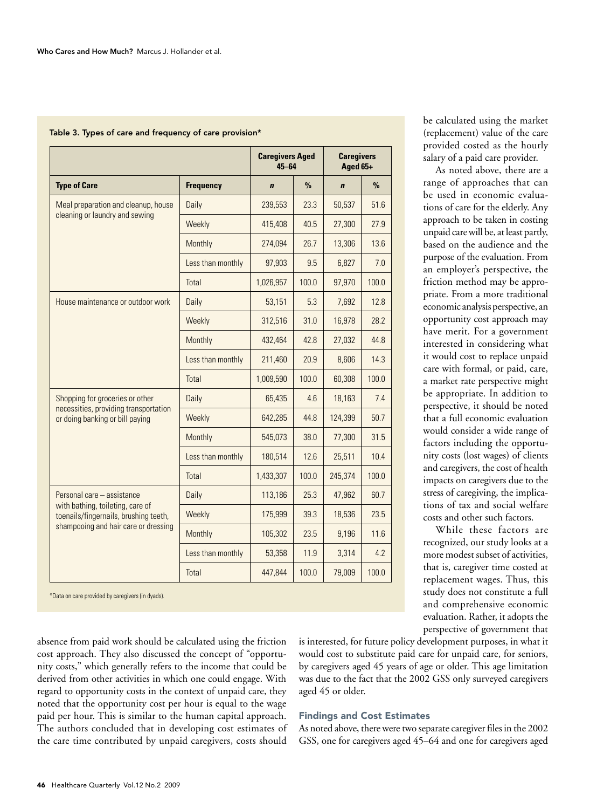|                                                                           |                   | <b>Caregivers Aged</b><br>$45 - 64$ |               | <b>Caregivers</b><br>Aged 65+ |               |
|---------------------------------------------------------------------------|-------------------|-------------------------------------|---------------|-------------------------------|---------------|
| <b>Type of Care</b>                                                       | <b>Frequency</b>  | $\mathbf{n}$                        | $\frac{9}{6}$ | $\mathbf{n}$                  | $\frac{9}{6}$ |
| Meal preparation and cleanup, house                                       | Daily             | 239,553                             | 23.3          | 50,537                        | 51.6          |
| cleaning or laundry and sewing                                            | Weekly            | 415,408                             | 40.5          | 27,300                        | 27.9          |
|                                                                           | Monthly           | 274,094                             | 26.7          | 13,306                        | 13.6          |
|                                                                           | Less than monthly | 97,903                              | 9.5           | 6,827                         | 7.0           |
|                                                                           | Total             | 1,026,957                           | 100.0         | 97,970                        | 100.0         |
| House maintenance or outdoor work                                         | Daily             | 53,151                              | 5.3           | 7,692                         | 12.8          |
|                                                                           | Weekly            | 312,516                             | 31.0          | 16,978                        | 28.2          |
|                                                                           | Monthly           | 432,464                             | 42.8          | 27,032                        | 44.8          |
|                                                                           | Less than monthly | 211,460                             | 20.9          | 8,606                         | 14.3          |
|                                                                           | Total             | 1,009,590                           | 100.0         | 60,308                        | 100.0         |
| Shopping for groceries or other                                           | Daily             | 65,435                              | 4.6           | 18,163                        | 7.4           |
| necessities, providing transportation<br>or doing banking or bill paying  | Weekly            | 642,285                             | 44.8          | 124,399                       | 50.7          |
|                                                                           | Monthly           | 545,073                             | 38.0          | 77,300                        | 31.5          |
|                                                                           | Less than monthly | 180,514                             | 12.6          | 25,511                        | 10.4          |
|                                                                           | Total             | 1,433,307                           | 100.0         | 245,374                       | 100.0         |
| Personal care - assistance                                                | Daily             | 113,186                             | 25.3          | 47,962                        | 60.7          |
| with bathing, toileting, care of<br>toenails/fingernails, brushing teeth, | Weekly            | 175,999                             | 39.3          | 18,536                        | 23.5          |
| shampooing and hair care or dressing                                      | Monthly           | 105,302                             | 23.5          | 9,196                         | 11.6          |
|                                                                           | Less than monthly | 53,358                              | 11.9          | 3,314                         | 4.2           |
|                                                                           | Total             | 447,844                             | 100.0         | 79,009                        | 100.0         |

Table 3. Types of care and frequency of care provision\*

\*Data on care provided by caregivers (in dyads).

be calculated using the market (replacement) value of the care provided costed as the hourly salary of a paid care provider.

As noted above, there are a range of approaches that can be used in economic evaluations of care for the elderly. Any approach to be taken in costing unpaid care will be, at least partly, based on the audience and the purpose of the evaluation. From an employer's perspective, the friction method may be appropriate. From a more traditional economic analysis perspective, an opportunity cost approach may have merit. For a government interested in considering what it would cost to replace unpaid care with formal, or paid, care, a market rate perspective might be appropriate. In addition to perspective, it should be noted that a full economic evaluation would consider a wide range of factors including the opportunity costs (lost wages) of clients and caregivers, the cost of health impacts on caregivers due to the stress of caregiving, the implications of tax and social welfare costs and other such factors.

While these factors are recognized, our study looks at a more modest subset of activities, that is, caregiver time costed at replacement wages. Thus, this study does not constitute a full and comprehensive economic evaluation. Rather, it adopts the perspective of government that

absence from paid work should be calculated using the friction cost approach. They also discussed the concept of "opportunity costs," which generally refers to the income that could be derived from other activities in which one could engage. With regard to opportunity costs in the context of unpaid care, they noted that the opportunity cost per hour is equal to the wage paid per hour. This is similar to the human capital approach. The authors concluded that in developing cost estimates of the care time contributed by unpaid caregivers, costs should

is interested, for future policy development purposes, in what it would cost to substitute paid care for unpaid care, for seniors, by caregivers aged 45 years of age or older. This age limitation was due to the fact that the 2002 GSS only surveyed caregivers aged 45 or older.

## Findings and Cost Estimates

As noted above, there were two separate caregiver files in the 2002 GSS, one for caregivers aged 45–64 and one for caregivers aged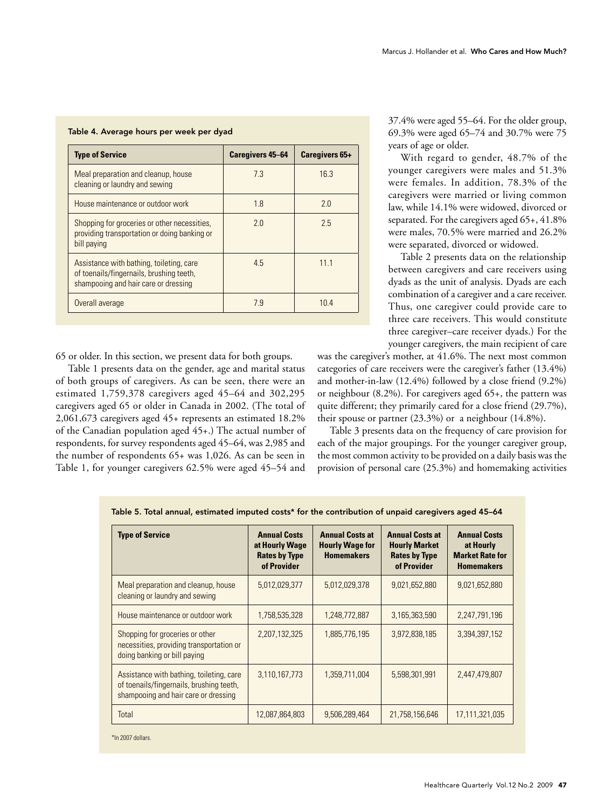#### Table 4. Average hours per week per dyad

| <b>Type of Service</b>                                                                                                       | <b>Caregivers 45–64</b> | Caregivers 65+ |
|------------------------------------------------------------------------------------------------------------------------------|-------------------------|----------------|
| Meal preparation and cleanup, house<br>cleaning or laundry and sewing                                                        | 73                      | 16.3           |
| House maintenance or outdoor work                                                                                            | 1.8                     | 2.0            |
| Shopping for groceries or other necessities,<br>providing transportation or doing banking or<br>bill paying                  | 20                      | 2.5            |
| Assistance with bathing, toileting, care<br>of toenails/fingernails, brushing teeth,<br>shampooing and hair care or dressing | 4.5                     | 111            |
| Overall average                                                                                                              | 79                      | 104            |

65 or older. In this section, we present data for both groups.

Table 1 presents data on the gender, age and marital status of both groups of caregivers. As can be seen, there were an estimated 1,759,378 caregivers aged 45–64 and 302,295 caregivers aged 65 or older in Canada in 2002. (The total of 2,061,673 caregivers aged 45+ represents an estimated 18.2% of the Canadian population aged 45+.) The actual number of respondents, for survey respondents aged 45–64, was 2,985 and the number of respondents 65+ was 1,026. As can be seen in Table 1, for younger caregivers 62.5% were aged 45–54 and

37.4% were aged 55–64. For the older group, 69.3% were aged 65–74 and 30.7% were 75 years of age or older.

With regard to gender, 48.7% of the younger caregivers were males and 51.3% were females. In addition, 78.3% of the caregivers were married or living common law, while 14.1% were widowed, divorced or separated. For the caregivers aged 65+, 41.8% were males, 70.5% were married and 26.2% were separated, divorced or widowed.

Table 2 presents data on the relationship between caregivers and care receivers using dyads as the unit of analysis. Dyads are each combination of a caregiver and a care receiver. Thus, one caregiver could provide care to three care receivers. This would constitute three caregiver–care receiver dyads.) For the younger caregivers, the main recipient of care

was the caregiver's mother, at 41.6%. The next most common categories of care receivers were the caregiver's father (13.4%) and mother-in-law (12.4%) followed by a close friend (9.2%) or neighbour (8.2%). For caregivers aged 65+, the pattern was quite different; they primarily cared for a close friend (29.7%), their spouse or partner (23.3%) or a neighbour (14.8%).

Table 3 presents data on the frequency of care provision for each of the major groupings. For the younger caregiver group, the most common activity to be provided on a daily basis was the provision of personal care (25.3%) and homemaking activities

| <b>Type of Service</b>                                                                                                       | <b>Annual Costs</b><br>at Hourly Wage<br><b>Rates by Type</b><br>of Provider | <b>Annual Costs at</b><br><b>Hourly Wage for</b><br><b>Homemakers</b> | <b>Annual Costs at</b><br><b>Hourly Market</b><br><b>Rates by Type</b><br>of Provider | <b>Annual Costs</b><br>at Hourly<br><b>Market Rate for</b><br><b>Homemakers</b> |
|------------------------------------------------------------------------------------------------------------------------------|------------------------------------------------------------------------------|-----------------------------------------------------------------------|---------------------------------------------------------------------------------------|---------------------------------------------------------------------------------|
| Meal preparation and cleanup, house<br>cleaning or laundry and sewing                                                        | 5,012,029,377                                                                | 5,012,029,378                                                         | 9,021,652,880                                                                         | 9,021,652,880                                                                   |
| House maintenance or outdoor work                                                                                            | 1,758,535,328                                                                | 1,248,772,887                                                         | 3,165,363,590                                                                         | 2,247,791,196                                                                   |
| Shopping for groceries or other<br>necessities, providing transportation or<br>doing banking or bill paying                  | 2,207,132,325                                                                | 1,885,776,195                                                         | 3,972,838,185                                                                         | 3,394,397,152                                                                   |
| Assistance with bathing, toileting, care<br>of toenails/fingernails, brushing teeth,<br>shampooing and hair care or dressing | 3,110,167,773                                                                | 1,359,711,004                                                         | 5,598,301,991                                                                         | 2,447,479,807                                                                   |
| Total                                                                                                                        | 12,087,864,803                                                               | 9,506,289,464                                                         | 21,758,156,646                                                                        | 17,111,321,035                                                                  |

Table 5. Total annual, estimated imputed costs\* for the contribution of unpaid caregivers aged 45-64

\*In 2007 dollars.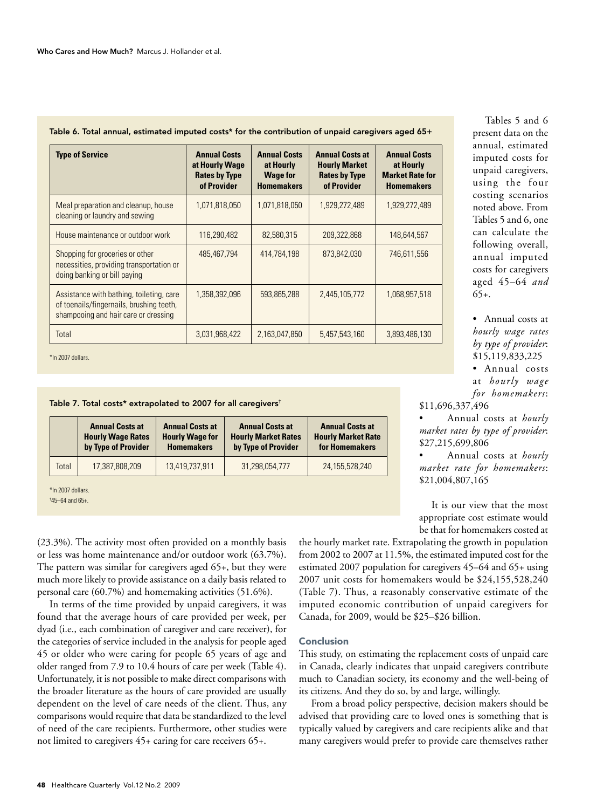| <b>Type of Service</b>                                                                                                       | <b>Annual Costs</b><br>at Hourly Wage<br><b>Rates by Type</b><br>of Provider | <b>Annual Costs</b><br>at Hourly<br><b>Wage for</b><br><b>Homemakers</b> | <b>Annual Costs at</b><br><b>Hourly Market</b><br><b>Rates by Type</b><br>of Provider | <b>Annual Costs</b><br>at Hourly<br><b>Market Rate for</b><br><b>Homemakers</b> |
|------------------------------------------------------------------------------------------------------------------------------|------------------------------------------------------------------------------|--------------------------------------------------------------------------|---------------------------------------------------------------------------------------|---------------------------------------------------------------------------------|
| Meal preparation and cleanup, house<br>cleaning or laundry and sewing                                                        | 1,071,818,050                                                                | 1,071,818,050                                                            | 1,929,272,489                                                                         | 1,929,272,489                                                                   |
| House maintenance or outdoor work                                                                                            | 116,290,482                                                                  | 82,580,315                                                               | 209,322,868                                                                           | 148,644,567                                                                     |
| Shopping for groceries or other<br>necessities, providing transportation or<br>doing banking or bill paying                  | 485.467.794                                                                  | 414.784.198                                                              | 873.842.030                                                                           | 746,611,556                                                                     |
| Assistance with bathing, toileting, care<br>of toenails/fingernails, brushing teeth,<br>shampooing and hair care or dressing | 1,358,392,096                                                                | 593,865,288                                                              | 2,445,105,772                                                                         | 1,068,957,518                                                                   |
| Total                                                                                                                        | 3,031,968,422                                                                | 2,163,047,850                                                            | 5,457,543,160                                                                         | 3,893,486,130                                                                   |

Table 6. Total annual, estimated imputed costs\* for the contribution of unpaid caregivers aged 65+

\*In 2007 dollars.

Table 7. Total costs\* extrapolated to 2007 for all caregivers†

|       | <b>Annual Costs at</b>   | <b>Annual Costs at</b> | <b>Annual Costs at</b>     | <b>Annual Costs at</b>    |
|-------|--------------------------|------------------------|----------------------------|---------------------------|
|       | <b>Hourly Wage Rates</b> | <b>Hourly Wage for</b> | <b>Hourly Market Rates</b> | <b>Hourly Market Rate</b> |
|       | by Type of Provider      | <b>Homemakers</b>      | by Type of Provider        | for Homemakers            |
| Total | 17.387.808.209           | 13.419.737.911         | 31.298.054.777             | 24.155.528.240            |

\*In 2007 dollars.

† 45–64 and 65+.

(23.3%). The activity most often provided on a monthly basis or less was home maintenance and/or outdoor work (63.7%). The pattern was similar for caregivers aged 65+, but they were much more likely to provide assistance on a daily basis related to personal care (60.7%) and homemaking activities (51.6%).

In terms of the time provided by unpaid caregivers, it was found that the average hours of care provided per week, per dyad (i.e., each combination of caregiver and care receiver), for the categories of service included in the analysis for people aged 45 or older who were caring for people 65 years of age and older ranged from 7.9 to 10.4 hours of care per week (Table 4). Unfortunately, it is not possible to make direct comparisons with the broader literature as the hours of care provided are usually dependent on the level of care needs of the client. Thus, any comparisons would require that data be standardized to the level of need of the care recipients. Furthermore, other studies were not limited to caregivers 45+ caring for care receivers 65+.

Tables 5 and 6 present data on the annual, estimated imputed costs for unpaid caregivers, using the four costing scenarios noted above. From Tables 5 and 6, one can calculate the following overall, annual imputed costs for caregivers aged 45–64 *and* 65+.

• Annual costs at *hourly wage rates by type of provider*: \$15,119,833,225

• Annual costs at *hourly wage for homemakers*:

\$11,696,337,496

• Annual costs at *hourly market rates by type of provider*: \$27,215,699,806

• Annual costs at *hourly market rate for homemakers*: \$21,004,807,165

It is our view that the most appropriate cost estimate would be that for homemakers costed at

the hourly market rate. Extrapolating the growth in population from 2002 to 2007 at 11.5%, the estimated imputed cost for the estimated 2007 population for caregivers 45–64 and 65+ using 2007 unit costs for homemakers would be \$24,155,528,240 (Table 7). Thus, a reasonably conservative estimate of the imputed economic contribution of unpaid caregivers for Canada, for 2009, would be \$25–\$26 billion.

#### Conclusion

This study, on estimating the replacement costs of unpaid care in Canada, clearly indicates that unpaid caregivers contribute much to Canadian society, its economy and the well-being of its citizens. And they do so, by and large, willingly.

From a broad policy perspective, decision makers should be advised that providing care to loved ones is something that is typically valued by caregivers and care recipients alike and that many caregivers would prefer to provide care themselves rather